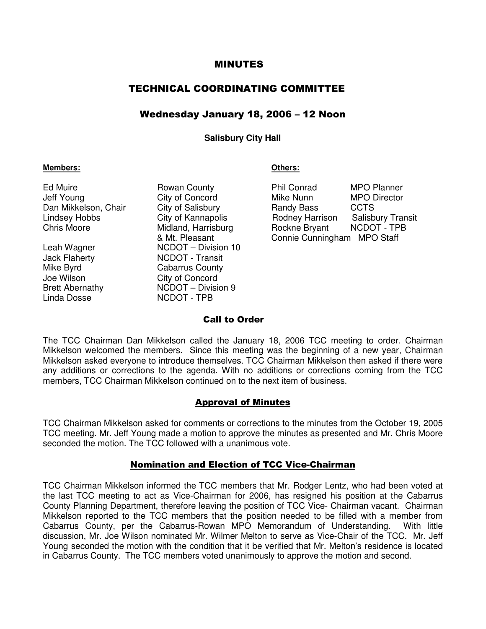## MINUTES

# TECHNICAL COORDINATING COMMITTEE

# Wednesday January 18, 2006 – 12 Noon

#### **Salisbury City Hall**

#### **Members: Others:**

Linda Dosse  $\sim$  NCDOT - TPB

Leah Wagner NCDOT – Division 10 Jack Flaherty NCDOT - Transit Mike Byrd **Cabarrus County** Joe Wilson City of Concord Brett Abernathy NCDOT – Division 9

Ed Muire **Rowan County Phil Conrad MPO Planner** Jeff Young City of Concord Mike Nunn MPO Director Dan Mikkelson, Chair City of Salisbury **Changes** Randy Bass CCTS Lindsey Hobbs **City of Kannapolis** Rodney Harrison Salisbury Transit<br>Chris Moore Midland, Harrisburg Rockne Brvant NCDOT - TPB Midland, Harrisburg **Rockne Bryant** NCDOT - TPB & Mt. Pleasant Connie Cunningham MPO Staff

## Call to Order

The TCC Chairman Dan Mikkelson called the January 18, 2006 TCC meeting to order. Chairman Mikkelson welcomed the members. Since this meeting was the beginning of a new year, Chairman Mikkelson asked everyone to introduce themselves. TCC Chairman Mikkelson then asked if there were any additions or corrections to the agenda. With no additions or corrections coming from the TCC members, TCC Chairman Mikkelson continued on to the next item of business.

## Approval of Minutes

TCC Chairman Mikkelson asked for comments or corrections to the minutes from the October 19, 2005 TCC meeting. Mr. Jeff Young made a motion to approve the minutes as presented and Mr. Chris Moore seconded the motion. The TCC followed with a unanimous vote.

## Nomination and Election of TCC Vice-Chairman

TCC Chairman Mikkelson informed the TCC members that Mr. Rodger Lentz, who had been voted at the last TCC meeting to act as Vice-Chairman for 2006, has resigned his position at the Cabarrus County Planning Department, therefore leaving the position of TCC Vice- Chairman vacant. Chairman Mikkelson reported to the TCC members that the position needed to be filled with a member from Cabarrus County, per the Cabarrus-Rowan MPO Memorandum of Understanding. With little discussion, Mr. Joe Wilson nominated Mr. Wilmer Melton to serve as Vice-Chair of the TCC. Mr. Jeff Young seconded the motion with the condition that it be verified that Mr. Melton's residence is located in Cabarrus County. The TCC members voted unanimously to approve the motion and second.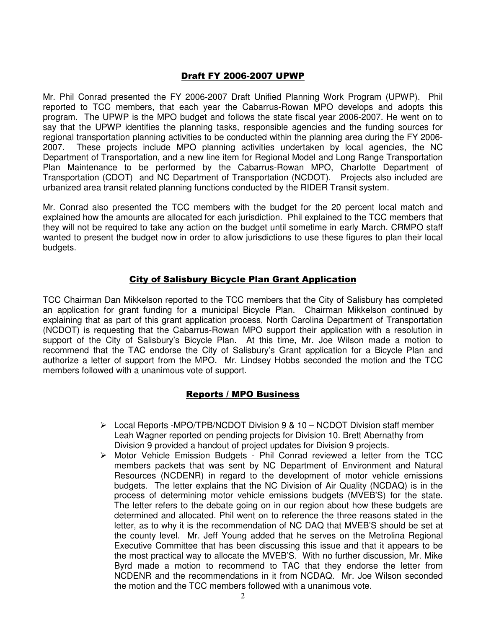# Draft FY 2006-2007 UPWP

Mr. Phil Conrad presented the FY 2006-2007 Draft Unified Planning Work Program (UPWP). Phil reported to TCC members, that each year the Cabarrus-Rowan MPO develops and adopts this program. The UPWP is the MPO budget and follows the state fiscal year 2006-2007. He went on to say that the UPWP identifies the planning tasks, responsible agencies and the funding sources for regional transportation planning activities to be conducted within the planning area during the FY 2006- 2007. These projects include MPO planning activities undertaken by local agencies, the NC Department of Transportation, and a new line item for Regional Model and Long Range Transportation Plan Maintenance to be performed by the Cabarrus-Rowan MPO, Charlotte Department of Transportation (CDOT) and NC Department of Transportation (NCDOT). Projects also included are urbanized area transit related planning functions conducted by the RIDER Transit system.

Mr. Conrad also presented the TCC members with the budget for the 20 percent local match and explained how the amounts are allocated for each jurisdiction. Phil explained to the TCC members that they will not be required to take any action on the budget until sometime in early March. CRMPO staff wanted to present the budget now in order to allow jurisdictions to use these figures to plan their local budgets.

# City of Salisbury Bicycle Plan Grant Application

TCC Chairman Dan Mikkelson reported to the TCC members that the City of Salisbury has completed an application for grant funding for a municipal Bicycle Plan. Chairman Mikkelson continued by explaining that as part of this grant application process, North Carolina Department of Transportation (NCDOT) is requesting that the Cabarrus-Rowan MPO support their application with a resolution in support of the City of Salisbury's Bicycle Plan. At this time, Mr. Joe Wilson made a motion to recommend that the TAC endorse the City of Salisbury's Grant application for a Bicycle Plan and authorize a letter of support from the MPO. Mr. Lindsey Hobbs seconded the motion and the TCC members followed with a unanimous vote of support.

## Reports / MPO Business

- $\triangleright$  Local Reports -MPO/TPB/NCDOT Division 9 & 10 NCDOT Division staff member Leah Wagner reported on pending projects for Division 10. Brett Abernathy from Division 9 provided a handout of project updates for Division 9 projects.
- $\triangleright$  Motor Vehicle Emission Budgets Phil Conrad reviewed a letter from the TCC members packets that was sent by NC Department of Environment and Natural Resources (NCDENR) in regard to the development of motor vehicle emissions budgets. The letter explains that the NC Division of Air Quality (NCDAQ) is in the process of determining motor vehicle emissions budgets (MVEB'S) for the state. The letter refers to the debate going on in our region about how these budgets are determined and allocated. Phil went on to reference the three reasons stated in the letter, as to why it is the recommendation of NC DAQ that MVEB'S should be set at the county level. Mr. Jeff Young added that he serves on the Metrolina Regional Executive Committee that has been discussing this issue and that it appears to be the most practical way to allocate the MVEB'S. With no further discussion, Mr. Mike Byrd made a motion to recommend to TAC that they endorse the letter from NCDENR and the recommendations in it from NCDAQ. Mr. Joe Wilson seconded the motion and the TCC members followed with a unanimous vote.